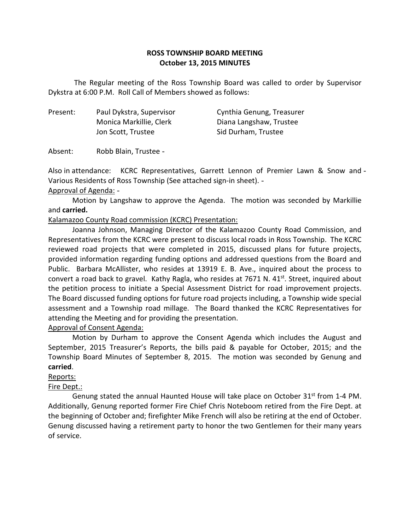### **ROSS TOWNSHIP BOARD MEETING October 13, 2015 MINUTES**

 Dykstra at 6:00 P.M. Roll Call of Members showed as follows: The Regular meeting of the Ross Township Board was called to order by Supervisor

Present: Monica Markillie, Clerk Diana Langshaw, Trustee Jon Scott, Trustee Sid Durham, Trustee

Paul Dykstra, Supervisor Cynthia Genung, Treasurer

Absent: Absent: Robb Blain, Trustee -

Also in attendance: KCRC Representatives, Garrett Lennon of Premier Lawn & Snow and -Various Residents of Ross Township (See attached sign-in sheet).

### Approval of Agenda: -

 Motion by Langshaw to approve the Agenda. The motion was seconded by Markillie and **carried.** 

Kalamazoo County Road commission (KCRC) Presentation:

 Joanna Johnson, Managing Director of the Kalamazoo County Road Commission, and Representatives from the KCRC were present to discuss local roads in Ross Township. The KCRC reviewed road projects that were completed in 2015, discussed plans for future projects, provided information regarding funding options and addressed questions from the Board and Public. Barbara McAllister, who resides at 13919 E. B. Ave., inquired about the process to convert a road back to gravel. Kathy Ragla, who resides at 7671 N. 41<sup>st</sup>. Street, inquired about the petition process to initiate a Special Assessment District for road improvement projects. The Board discussed funding options for future road projects including, a Township wide special assessment and a Township road millage. The Board thanked the KCRC Representatives for attending the Meeting and for providing the presentation.

### Approval of Consent Agenda:

 Motion by Durham to approve the Consent Agenda which includes the August and September, 2015 Treasurer's Reports, the bills paid & payable for October, 2015; and the Township Board Minutes of September 8, 2015. The motion was seconded by Genung and **carried**.

## Reports:

## Fire Dept.:

Genung stated the annual Haunted House will take place on October 31<sup>st</sup> from 1-4 PM. Additionally, Genung reported former Fire Chief Chris Noteboom retired from the Fire Dept. at the beginning of October and; firefighter Mike French will also be retiring at the end of October. Genung discussed having a retirement party to honor the two Gentlemen for their many years of service.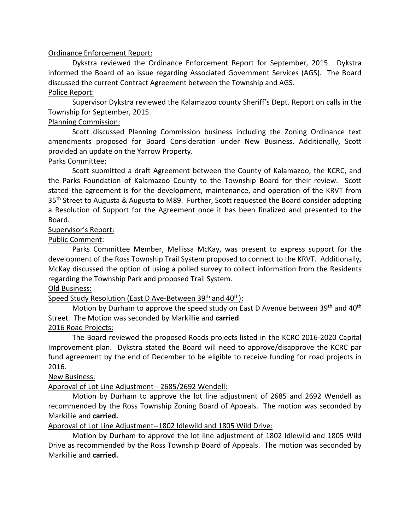### Ordinance Enforcement Report:

 Dykstra reviewed the Ordinance Enforcement Report for September, 2015. Dykstra informed the Board of an issue regarding Associated Government Services (AGS). The Board discussed the current Contract Agreement between the Township and AGS.

# Police Report:

 Supervisor Dykstra reviewed the Kalamazoo county Sheriff's Dept. Report on calls in the Township for September, 2015.

### Planning Commission:

 amendments proposed for Board Consideration under New Business. Additionally, Scott provided an update on the Yarrow Property. Scott discussed Planning Commission business including the Zoning Ordinance text

### Parks Committee:

 the Parks Foundation of Kalamazoo County to the Township Board for their review. Scott stated the agreement is for the development, maintenance, and operation of the KRVT from 35<sup>th</sup> Street to Augusta & Augusta to M89. Further, Scott requested the Board consider adopting a Resolution of Support for the Agreement once it has been finalized and presented to the Scott submitted a draft Agreement between the County of Kalamazoo, the KCRC, and Board.

## Supervisor's Report:

### Public Comment:

 development of the Ross Township Trail System proposed to connect to the KRVT. Additionally, McKay discussed the option of using a polled survey to collect information from the Residents regarding the Township Park and proposed Trail System. Parks Committee Member, Mellissa McKay, was present to express support for the

#### Old Business:

#### Speed Study Resolution (East D Ave-Between 39<sup>th</sup> and 40<sup>th</sup>):

Motion by Durham to approve the speed study on East D Avenue between 39<sup>th</sup> and 40<sup>th</sup> Street. The Motion was seconded by Markillie and **carried**.

#### 2016 Road Projects:

 Improvement plan. Dykstra stated the Board will need to approve/disapprove the KCRC par fund agreement by the end of December to be eligible to receive funding for road projects in The Board reviewed the proposed Roads projects listed in the KCRC 2016-2020 Capital 2016.

#### **New Business:**

## Approval of Lot Line Adjustment-- 2685/2692 Wendell:

 Motion by Durham to approve the lot line adjustment of 2685 and 2692 Wendell as recommended by the Ross Township Zoning Board of Appeals. The motion was seconded by Markillie and **carried.** 

#### Approval of Lot Line Adjustment--1802 Idlewild and 1805 Wild Drive:

 Motion by Durham to approve the lot line adjustment of 1802 Idlewild and 1805 Wild Drive as recommended by the Ross Township Board of Appeals. The motion was seconded by Markillie and **carried.**